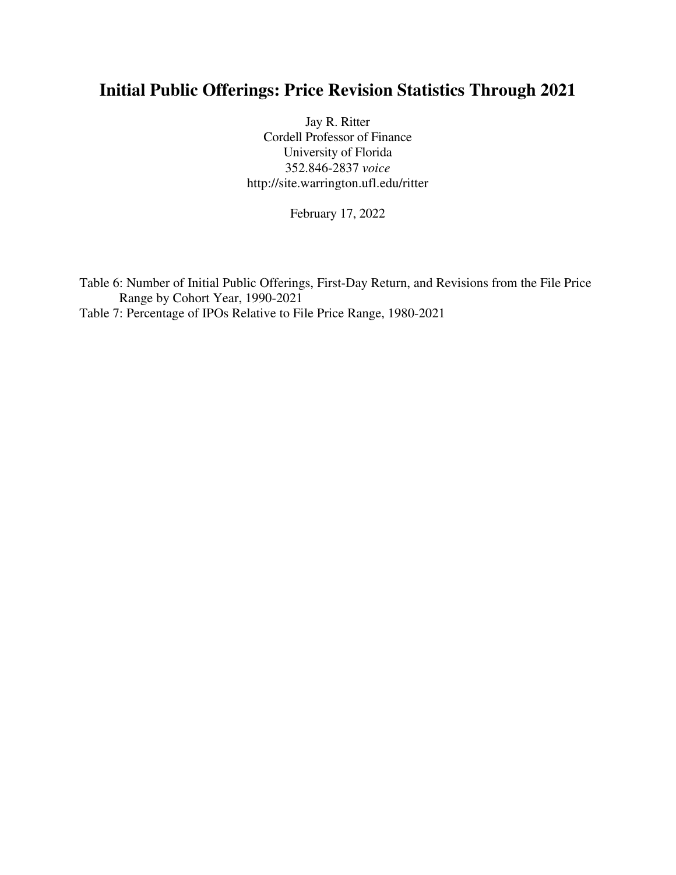## **Initial Public Offerings: Price Revision Statistics Through 2021**

Jay R. Ritter Cordell Professor of Finance University of Florida 352.846-2837 *voice* http://site.warrington.ufl.edu/ritter

February 17, 2022

Table 6: Number of Initial Public Offerings, First-Day Return, and Revisions from the File Price Range by Cohort Year, 1990-2021 Table 7: Percentage of IPOs Relative to File Price Range, 1980-2021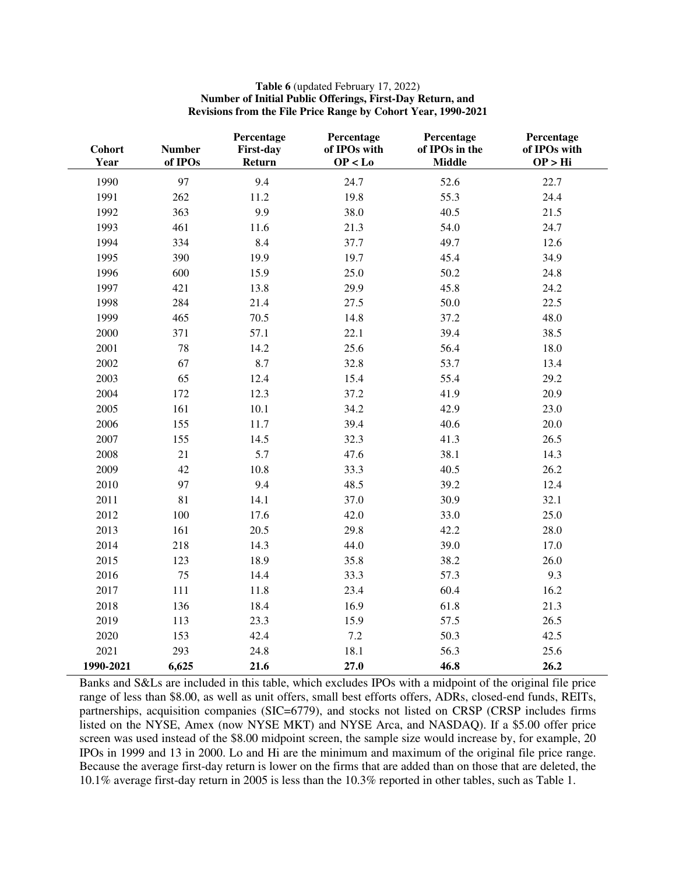## **Table 6** (updated February 17, 2022) **Number of Initial Public Offerings, First-Day Return, and Revisions from the File Price Range by Cohort Year, 1990-2021**

| Cohort<br>Year | <b>Number</b><br>of IPOs | Percentage<br><b>First-day</b><br>Return | Percentage<br>of IPOs with<br>OP < Lo | Percentage<br>of IPOs in the<br><b>Middle</b> | Percentage<br>of IPOs with<br>OP > Hi |
|----------------|--------------------------|------------------------------------------|---------------------------------------|-----------------------------------------------|---------------------------------------|
| 1990           | 97                       | 9.4                                      | 24.7                                  | 52.6                                          | 22.7                                  |
| 1991           | 262                      | 11.2                                     | 19.8                                  | 55.3                                          | 24.4                                  |
| 1992           | 363                      | 9.9                                      | 38.0                                  | 40.5                                          | 21.5                                  |
| 1993           | 461                      | 11.6                                     | 21.3                                  | 54.0                                          | 24.7                                  |
| 1994           | 334                      | 8.4                                      | 37.7                                  | 49.7                                          | 12.6                                  |
| 1995           | 390                      | 19.9                                     | 19.7                                  | 45.4                                          | 34.9                                  |
| 1996           | 600                      | 15.9                                     | 25.0                                  | 50.2                                          | 24.8                                  |
| 1997           | 421                      | 13.8                                     | 29.9                                  | 45.8                                          | 24.2                                  |
| 1998           | 284                      | 21.4                                     | 27.5                                  | 50.0                                          | 22.5                                  |
| 1999           | 465                      | 70.5                                     | 14.8                                  | 37.2                                          | 48.0                                  |
| 2000           | 371                      | 57.1                                     | 22.1                                  | 39.4                                          | 38.5                                  |
| 2001           | 78                       | 14.2                                     | 25.6                                  | 56.4                                          | 18.0                                  |
| 2002           | 67                       | 8.7                                      | 32.8                                  | 53.7                                          | 13.4                                  |
| 2003           | 65                       | 12.4                                     | 15.4                                  | 55.4                                          | 29.2                                  |
| 2004           | 172                      | 12.3                                     | 37.2                                  | 41.9                                          | 20.9                                  |
| 2005           | 161                      | 10.1                                     | 34.2                                  | 42.9                                          | 23.0                                  |
| 2006           | 155                      | 11.7                                     | 39.4                                  | 40.6                                          | 20.0                                  |
| 2007           | 155                      | 14.5                                     | 32.3                                  | 41.3                                          | 26.5                                  |
| 2008           | 21                       | 5.7                                      | 47.6                                  | 38.1                                          | 14.3                                  |
| 2009           | 42                       | 10.8                                     | 33.3                                  | 40.5                                          | 26.2                                  |
| 2010           | 97                       | 9.4                                      | 48.5                                  | 39.2                                          | 12.4                                  |
| 2011           | 81                       | 14.1                                     | 37.0                                  | 30.9                                          | 32.1                                  |
| 2012           | 100                      | 17.6                                     | 42.0                                  | 33.0                                          | 25.0                                  |
| 2013           | 161                      | 20.5                                     | 29.8                                  | 42.2                                          | 28.0                                  |
| 2014           | 218                      | 14.3                                     | 44.0                                  | 39.0                                          | 17.0                                  |
| 2015           | 123                      | 18.9                                     | 35.8                                  | 38.2                                          | 26.0                                  |
| 2016           | 75                       | 14.4                                     | 33.3                                  | 57.3                                          | 9.3                                   |
| 2017           | 111                      | 11.8                                     | 23.4                                  | 60.4                                          | 16.2                                  |
| 2018           | 136                      | 18.4                                     | 16.9                                  | 61.8                                          | 21.3                                  |
| 2019           | 113                      | 23.3                                     | 15.9                                  | 57.5                                          | 26.5                                  |
| 2020           | 153                      | 42.4                                     | $7.2\,$                               | 50.3                                          | 42.5                                  |
| 2021           | 293                      | 24.8                                     | 18.1                                  | 56.3                                          | 25.6                                  |
| 1990-2021      | 6,625                    | 21.6                                     | 27.0                                  | 46.8                                          | 26.2                                  |

Banks and S&Ls are included in this table, which excludes IPOs with a midpoint of the original file price range of less than \$8.00, as well as unit offers, small best efforts offers, ADRs, closed-end funds, REITs, partnerships, acquisition companies (SIC=6779), and stocks not listed on CRSP (CRSP includes firms listed on the NYSE, Amex (now NYSE MKT) and NYSE Arca, and NASDAQ). If a \$5.00 offer price screen was used instead of the \$8.00 midpoint screen, the sample size would increase by, for example, 20 IPOs in 1999 and 13 in 2000. Lo and Hi are the minimum and maximum of the original file price range. Because the average first-day return is lower on the firms that are added than on those that are deleted, the 10.1% average first-day return in 2005 is less than the 10.3% reported in other tables, such as Table 1.